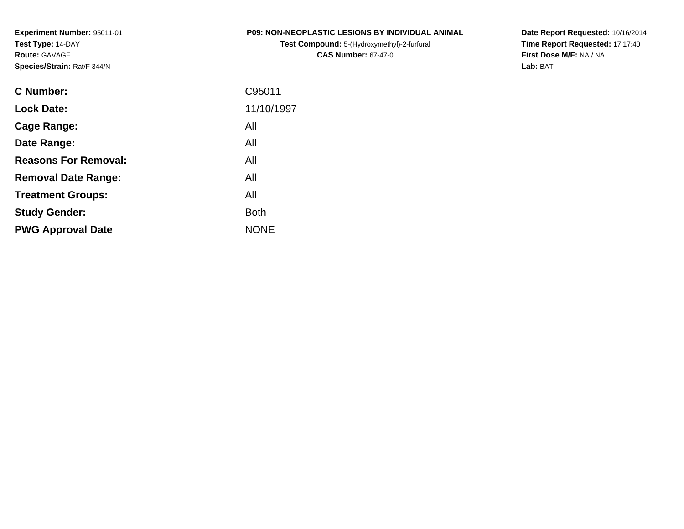**Experiment Number:** 95011-01**Test Type:** 14-DAY**Route:** GAVAGE**Species/Strain:** Rat/F 344/N

**Test Compound:** 5-(Hydroxymethyl)-2-furfural **CAS Number:** 67-47-0

**Date Report Requested:** 10/16/2014 **Time Report Requested:** 17:17:40**First Dose M/F:** NA / NA**Lab:** BAT

| 11/10/1997<br><b>Lock Date:</b><br>All<br>Cage Range:<br>All<br>Date Range:<br><b>Reasons For Removal:</b><br>All<br>All<br><b>Removal Date Range:</b><br>All<br><b>Treatment Groups:</b><br><b>Both</b><br><b>Study Gender:</b><br><b>NONE</b><br><b>PWG Approval Date</b> | C95011 |
|-----------------------------------------------------------------------------------------------------------------------------------------------------------------------------------------------------------------------------------------------------------------------------|--------|
|                                                                                                                                                                                                                                                                             |        |
|                                                                                                                                                                                                                                                                             |        |
|                                                                                                                                                                                                                                                                             |        |
|                                                                                                                                                                                                                                                                             |        |
|                                                                                                                                                                                                                                                                             |        |
|                                                                                                                                                                                                                                                                             |        |
|                                                                                                                                                                                                                                                                             |        |
|                                                                                                                                                                                                                                                                             |        |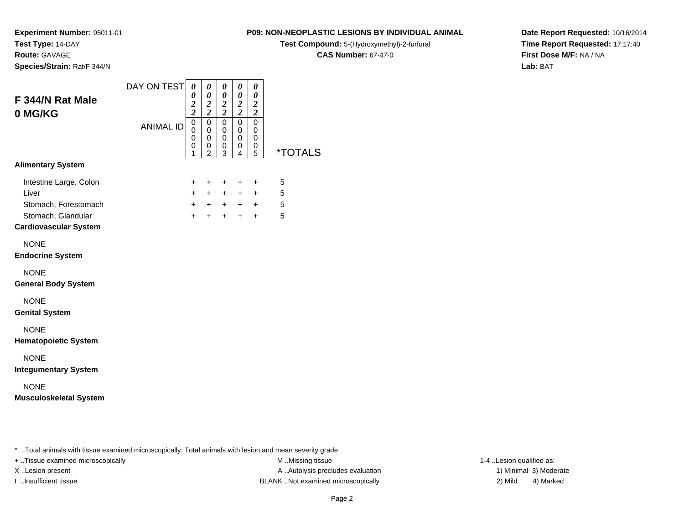**Test Type:** 14-DAY**Route:** GAVAGE

**Species/Strain:** Rat/F 344/N

**P09: NON-NEOPLASTIC LESIONS BY INDIVIDUAL ANIMAL**

**Test Compound:** 5-(Hydroxymethyl)-2-furfural

**CAS Number:** 67-47-0

**Date Report Requested:** 10/16/2014**Time Report Requested:** 17:17:40**First Dose M/F:** NA / NA**Lab:** BAT

| F 344/N Rat Male<br>0 MG/KG                                                                                   | DAY ON TEST      | 0<br>0<br>$\frac{2}{2}$                                          | 0<br>0<br>$\frac{2}{2}$                                   | 0<br>0<br>$\frac{2}{2}$            | 0<br>0<br>$\frac{2}{2}$       | $\pmb{\theta}$<br>$\pmb{\theta}$<br>$\boldsymbol{2}$<br>$\boldsymbol{2}$ |                       |
|---------------------------------------------------------------------------------------------------------------|------------------|------------------------------------------------------------------|-----------------------------------------------------------|------------------------------------|-------------------------------|--------------------------------------------------------------------------|-----------------------|
|                                                                                                               | <b>ANIMAL ID</b> | $\overline{0}$<br>$\mathbf 0$<br>$\mathbf 0$<br>$\mathbf 0$<br>1 | $\overline{0}$<br>0<br>$\mathbf 0$<br>0<br>$\overline{2}$ | $\mathbf 0$<br>0<br>0<br>0<br>3    | $\pmb{0}$<br>0<br>0<br>0<br>4 | 0<br>0<br>0<br>0<br>5                                                    | <i><b>*TOTALS</b></i> |
| <b>Alimentary System</b>                                                                                      |                  |                                                                  |                                                           |                                    |                               |                                                                          |                       |
| Intestine Large, Colon<br>Liver<br>Stomach, Forestomach<br>Stomach, Glandular<br><b>Cardiovascular System</b> |                  | $\ddot{}$<br>$+$<br>$+$                                          | $+$<br>$+$<br>$+$                                         | $\ddot{}$<br>$+$<br>$+ + +$<br>$+$ | $+$<br>$+$<br>$+$             | $\pm$<br>$+$<br>$+$ $+$<br>$+$                                           | 5<br>5<br>5<br>5      |
| <b>NONE</b><br><b>Endocrine System</b>                                                                        |                  |                                                                  |                                                           |                                    |                               |                                                                          |                       |
| <b>NONE</b><br><b>General Body System</b>                                                                     |                  |                                                                  |                                                           |                                    |                               |                                                                          |                       |
| <b>NONE</b><br><b>Genital System</b>                                                                          |                  |                                                                  |                                                           |                                    |                               |                                                                          |                       |
| <b>NONE</b><br><b>Hematopoietic System</b>                                                                    |                  |                                                                  |                                                           |                                    |                               |                                                                          |                       |
| <b>NONE</b><br><b>Integumentary System</b>                                                                    |                  |                                                                  |                                                           |                                    |                               |                                                                          |                       |
| <b>NONE</b><br><b>Musculoskeletal System</b>                                                                  |                  |                                                                  |                                                           |                                    |                               |                                                                          |                       |

\* ..Total animals with tissue examined microscopically; Total animals with lesion and mean severity grade

+ ..Tissue examined microscopically M ...Missing tissue 1-4 ...

X..Lesion present **A ..Autolysis precludes evaluation** A ..Autolysis precludes evaluation 1) Minimal 3) Moderate I ..Insufficient tissue BLANK ..Not examined microscopically 2) Mild 4) Marked

1-4 ..Lesion qualified as: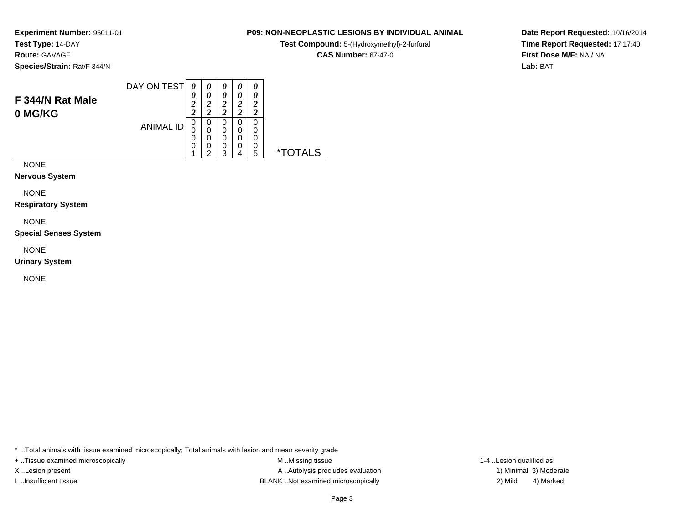**Route:** GAVAGE

**Species/Strain:** Rat/F 344/N

### DAY ON TEST**F 344/N Rat Male0 MG/KG**ANIMAL ID*0 0 2 2*0<br>0<br>0<br>0<br>1 *0 0 2 2*0<br>0<br>0<br>0<br>2 *0 0 2 2* 0 0 0 0 3*0 0 2 2* 0 0 0 0 4*0 0 2 2* 0 00<br>0<br>5 5 \*TOTALS

NONE

**Nervous System**

NONE

**Respiratory System**

NONE

**Special Senses System**

NONE

**Urinary System**

NONE

\* ..Total animals with tissue examined microscopically; Total animals with lesion and mean severity grade

+ ..Tissue examined microscopically examined microscopically examined as:  $M$  ..Missing tissue 1-4 ..Lesion qualified as: X..Lesion present **A ..Autolysis precludes evaluation** A ..Autolysis precludes evaluation 1) Minimal 3) Moderate I ..Insufficient tissue BLANK ..Not examined microscopically 2) Mild 4) Marked

**Date Report Requested:** 10/16/2014**Time Report Requested:** 17:17:40**First Dose M/F:** NA / NA**Lab:** BAT

# **P09: NON-NEOPLASTIC LESIONS BY INDIVIDUAL ANIMAL**

**Test Compound:** 5-(Hydroxymethyl)-2-furfural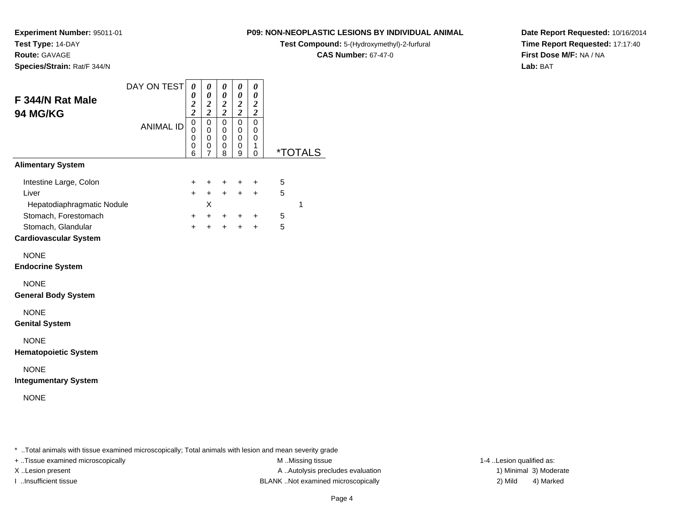**Route:** GAVAGE

**Species/Strain:** Rat/F 344/N

# **P09: NON-NEOPLASTIC LESIONS BY INDIVIDUAL ANIMAL**

**Test Compound:** 5-(Hydroxymethyl)-2-furfural

**CAS Number:** 67-47-0

**Date Report Requested:** 10/16/2014**Time Report Requested:** 17:17:40**First Dose M/F:** NA / NA**Lab:** BAT

| F 344/N Rat Male<br>94 MG/KG                                                                                                                | DAY ON TEST      | $\boldsymbol{\theta}$<br>$\pmb{\theta}$<br>$\overline{\mathbf{c}}$<br>$\bar{2}$ | 0<br>$\pmb{\theta}$<br>$\frac{2}{2}$                 | 0<br>$\pmb{\theta}$<br>$\boldsymbol{2}$<br>$\overline{2}$ | 0<br>$\pmb{\theta}$<br>$\frac{2}{2}$ | 0<br>$\pmb{\theta}$<br>$\boldsymbol{2}$<br>$\overline{c}$ |                  |                       |
|---------------------------------------------------------------------------------------------------------------------------------------------|------------------|---------------------------------------------------------------------------------|------------------------------------------------------|-----------------------------------------------------------|--------------------------------------|-----------------------------------------------------------|------------------|-----------------------|
|                                                                                                                                             | <b>ANIMAL ID</b> | $\mathbf 0$<br>$\mathbf 0$<br>0<br>0<br>6                                       | $\pmb{0}$<br>0<br>$\mathbf 0$<br>0<br>$\overline{7}$ | 0<br>0<br>0<br>0<br>8                                     | 0<br>0<br>0<br>0<br>9                | $\mathbf 0$<br>0<br>0<br>1<br>$\Omega$                    |                  | <i><b>*TOTALS</b></i> |
| <b>Alimentary System</b>                                                                                                                    |                  |                                                                                 |                                                      |                                                           |                                      |                                                           |                  |                       |
| Intestine Large, Colon<br>Liver<br>Hepatodiaphragmatic Nodule<br>Stomach, Forestomach<br>Stomach, Glandular<br><b>Cardiovascular System</b> |                  | $\ddot{}$<br>$+$<br>$\ddot{}$<br>$+$                                            | $\ddot{}$<br>$+$<br>X<br>$+$<br>$+$                  | $\ddot{}$<br>$+$<br>$+$<br>$+$                            | $\ddot{}$<br>$\ddot{}$<br>$+$<br>$+$ | $\ddot{}$<br>$+$<br>$\ddot{}$<br>$\ddot{}$                | 5<br>5<br>5<br>5 | $\mathbf 1$           |
| <b>NONE</b><br><b>Endocrine System</b>                                                                                                      |                  |                                                                                 |                                                      |                                                           |                                      |                                                           |                  |                       |
| <b>NONE</b><br><b>General Body System</b>                                                                                                   |                  |                                                                                 |                                                      |                                                           |                                      |                                                           |                  |                       |
| <b>NONE</b><br><b>Genital System</b>                                                                                                        |                  |                                                                                 |                                                      |                                                           |                                      |                                                           |                  |                       |
| <b>NONE</b><br><b>Hematopoietic System</b>                                                                                                  |                  |                                                                                 |                                                      |                                                           |                                      |                                                           |                  |                       |
| <b>NONE</b><br><b>Integumentary System</b>                                                                                                  |                  |                                                                                 |                                                      |                                                           |                                      |                                                           |                  |                       |
| <b>NONE</b>                                                                                                                                 |                  |                                                                                 |                                                      |                                                           |                                      |                                                           |                  |                       |

\* ..Total animals with tissue examined microscopically; Total animals with lesion and mean severity grade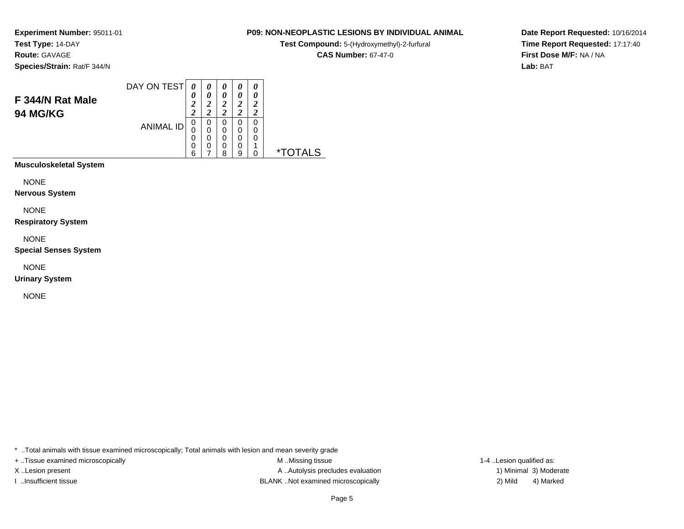**Route:** GAVAGE

**Species/Strain:** Rat/F 344/N

#### DAY ON TEST**F 344/N Rat Male94 MG/KG**ANIMAL ID*0 0 2 2*0<br>0<br>0<br>0<br>6 *0 0 2 2*0<br>0<br>0<br>0<br>7 *0 0 2 2* 0 0 0 0 8*0 0 2 2* 0 0 0 0 9*0 0 2 2* 0 00<br>1<br>^ 0 \*TOTALS

**Musculoskeletal System**

NONE

**Nervous System**

NONE

**Respiratory System**

NONE

**Special Senses System**

NONE

**Urinary System**

NONE

\* ..Total animals with tissue examined microscopically; Total animals with lesion and mean severity grade

+ ..Tissue examined microscopically examined microscopically examined as:  $M$  ..Missing tissue 1-4 ..Lesion qualified as: X..Lesion present **A ..Autolysis precludes evaluation** A ..Autolysis precludes evaluation 1) Minimal 3) Moderate I ..Insufficient tissue BLANK ..Not examined microscopically 2) Mild 4) Marked

**Date Report Requested:** 10/16/2014**Time Report Requested:** 17:17:40**First Dose M/F:** NA / NA**Lab:** BAT

# **P09: NON-NEOPLASTIC LESIONS BY INDIVIDUAL ANIMAL**

**Test Compound:** 5-(Hydroxymethyl)-2-furfural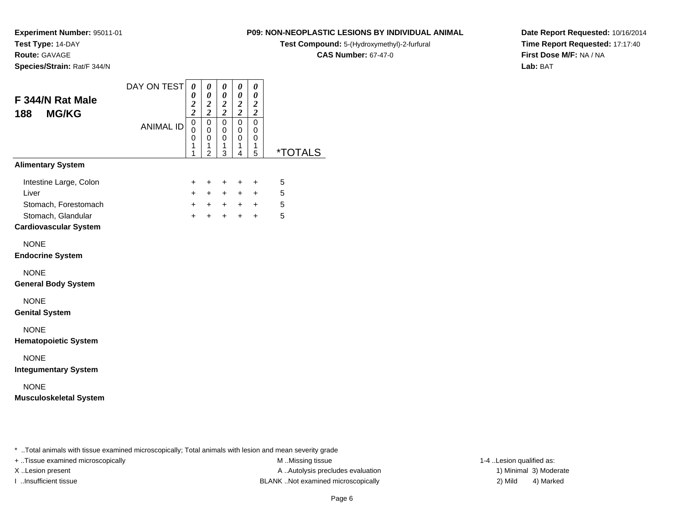**Route:** GAVAGE

**Species/Strain:** Rat/F 344/N

# **P09: NON-NEOPLASTIC LESIONS BY INDIVIDUAL ANIMAL**

**Test Compound:** 5-(Hydroxymethyl)-2-furfural

**CAS Number:** 67-47-0

**Date Report Requested:** 10/16/2014**Time Report Requested:** 17:17:40**First Dose M/F:** NA / NA**Lab:** BAT

| F 344/N Rat Male<br><b>MG/KG</b><br>188                                                                       | DAY ON TEST      | 0<br>0<br>$\overline{c}$<br>$\overline{2}$ | 0<br>0<br>$\overline{2}$<br>$\overline{\mathbf{c}}$              | 0<br>0<br>$\boldsymbol{2}$<br>$\overline{2}$ | 0<br>0<br>$\boldsymbol{2}$<br>$\overline{2}$ | 0<br>$\boldsymbol{\theta}$<br>$\overline{2}$<br>$\boldsymbol{2}$ |                       |
|---------------------------------------------------------------------------------------------------------------|------------------|--------------------------------------------|------------------------------------------------------------------|----------------------------------------------|----------------------------------------------|------------------------------------------------------------------|-----------------------|
|                                                                                                               | <b>ANIMAL ID</b> | $\mathbf 0$<br>0<br>$\mathbf 0$<br>1<br>1  | $\mathbf 0$<br>$\mathbf 0$<br>$\mathbf 0$<br>1<br>$\overline{c}$ | 0<br>$\mathbf 0$<br>$\mathbf 0$<br>1<br>3    | 0<br>$\mathbf 0$<br>0<br>1<br>4              | $\mathbf 0$<br>0<br>0<br>1<br>5                                  | <i><b>*TOTALS</b></i> |
| <b>Alimentary System</b>                                                                                      |                  |                                            |                                                                  |                                              |                                              |                                                                  |                       |
| Intestine Large, Colon<br>Liver<br>Stomach, Forestomach<br>Stomach, Glandular<br><b>Cardiovascular System</b> |                  | +<br>$+$<br>$+$<br>$+$                     | $\ddot{}$<br>$+$<br>$+$<br>$+$                                   | +<br>$+$<br>$+$<br>$+$                       | +<br>$+$<br>$+$<br>$+$                       | $\ddot{}$<br>$\ddot{}$<br>$+$<br>$+$                             | 5<br>5<br>5<br>5      |
| <b>NONE</b><br><b>Endocrine System</b>                                                                        |                  |                                            |                                                                  |                                              |                                              |                                                                  |                       |
| <b>NONE</b><br><b>General Body System</b>                                                                     |                  |                                            |                                                                  |                                              |                                              |                                                                  |                       |
| <b>NONE</b><br><b>Genital System</b>                                                                          |                  |                                            |                                                                  |                                              |                                              |                                                                  |                       |
| <b>NONE</b><br><b>Hematopoietic System</b>                                                                    |                  |                                            |                                                                  |                                              |                                              |                                                                  |                       |
| <b>NONE</b><br><b>Integumentary System</b>                                                                    |                  |                                            |                                                                  |                                              |                                              |                                                                  |                       |
| <b>NONE</b><br><b>Musculoskeletal System</b>                                                                  |                  |                                            |                                                                  |                                              |                                              |                                                                  |                       |

..Total animals with tissue examined microscopically; Total animals with lesion and mean severity grade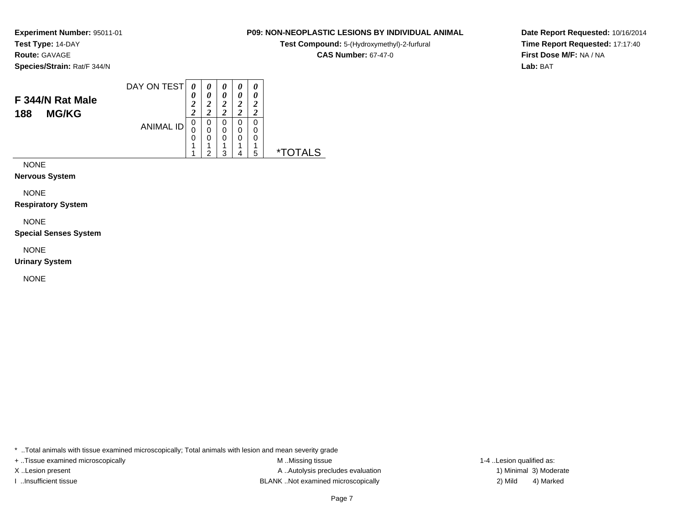**Route:** GAVAGE

**Species/Strain:** Rat/F 344/N

#### DAY ON TEST**F 344/N Rat Male188 MG/KG**ANIMAL ID*0 0 2 2* 0 0 0 1 1*0 0 2 2*0<br>0<br>0<br>1<br>2 *0 0 2 2* 0 0 0 1 3*0 0 2 2* 0 0 0 1 4*0 0 2 2* 0 00<br>1<br>= 5 \*TOTALS

NONE

**Nervous System**

NONE

**Respiratory System**

NONE

**Special Senses System**

NONE

**Urinary System**

NONE

\* ..Total animals with tissue examined microscopically; Total animals with lesion and mean severity grade

+ ..Tissue examined microscopically examined microscopically examined as:  $M$  ..Missing tissue 1-4 ..Lesion qualified as: X..Lesion present **A ..Autolysis precludes evaluation** A ..Autolysis precludes evaluation 1) Minimal 3) Moderate I ..Insufficient tissue BLANK ..Not examined microscopically 2) Mild 4) Marked

**Date Report Requested:** 10/16/2014**Time Report Requested:** 17:17:40**First Dose M/F:** NA / NA**Lab:** BAT

# **P09: NON-NEOPLASTIC LESIONS BY INDIVIDUAL ANIMAL**

**Test Compound:** 5-(Hydroxymethyl)-2-furfural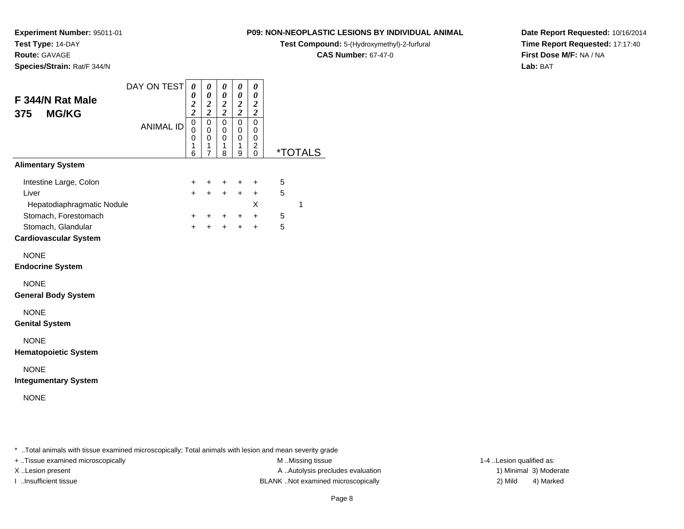**Test Type:** 14-DAY**Route:** GAVAGE

**Species/Strain:** Rat/F 344/N

**P09: NON-NEOPLASTIC LESIONS BY INDIVIDUAL ANIMAL**

**Test Compound:** 5-(Hydroxymethyl)-2-furfural

**CAS Number:** 67-47-0

 $\overline{\phantom{0}}$ 

**Date Report Requested:** 10/16/2014**Time Report Requested:** 17:17:40**First Dose M/F:** NA / NA**Lab:** BAT

| F 344/N Rat Male<br><b>MG/KG</b><br>375                                    | DAY ON TEST      | $\boldsymbol{\theta}$<br>0<br>$\frac{2}{2}$ | $\pmb{\theta}$<br>$\boldsymbol{\theta}$<br>$\frac{2}{2}$       | 0<br>$\boldsymbol{\theta}$<br>$\boldsymbol{2}$<br>$\overline{\mathbf{c}}$ | 0<br>$\pmb{\theta}$<br>$\boldsymbol{2}$<br>$\overline{2}$ | 0<br>$\pmb{\theta}$<br>$\boldsymbol{2}$<br>$\overline{2}$     |        |                       |
|----------------------------------------------------------------------------|------------------|---------------------------------------------|----------------------------------------------------------------|---------------------------------------------------------------------------|-----------------------------------------------------------|---------------------------------------------------------------|--------|-----------------------|
|                                                                            | <b>ANIMAL ID</b> | 0<br>0<br>0<br>1<br>6                       | $\pmb{0}$<br>$\mathbf 0$<br>$\mathbf 0$<br>1<br>$\overline{7}$ | $\mathbf 0$<br>$\mathbf 0$<br>$\mathbf 0$<br>1<br>8                       | $\mathbf 0$<br>$\mathbf 0$<br>$\mathbf 0$<br>1<br>9       | 0<br>$\mathbf 0$<br>$\mathbf 0$<br>$\overline{c}$<br>$\Omega$ |        | <i><b>*TOTALS</b></i> |
| <b>Alimentary System</b>                                                   |                  |                                             |                                                                |                                                                           |                                                           |                                                               |        |                       |
| Intestine Large, Colon<br>Liver<br>Hepatodiaphragmatic Nodule              |                  | +<br>$\ddot{}$                              | +<br>$\ddot{}$                                                 | +<br>$+$                                                                  | $\ddot{}$<br>$\ddot{}$                                    | $\ddot{}$<br>$\ddot{}$<br>X                                   | 5<br>5 | 1                     |
| Stomach, Forestomach<br>Stomach, Glandular<br><b>Cardiovascular System</b> |                  | +<br>$\ddot{}$                              | +<br>$+$                                                       | $\pm$<br>$+$                                                              | $+$<br>$+$                                                | $+$<br>$+$                                                    | 5<br>5 |                       |
| <b>NONE</b><br><b>Endocrine System</b>                                     |                  |                                             |                                                                |                                                                           |                                                           |                                                               |        |                       |
| <b>NONE</b><br><b>General Body System</b>                                  |                  |                                             |                                                                |                                                                           |                                                           |                                                               |        |                       |
| <b>NONE</b><br><b>Genital System</b>                                       |                  |                                             |                                                                |                                                                           |                                                           |                                                               |        |                       |
| <b>NONE</b><br><b>Hematopoietic System</b>                                 |                  |                                             |                                                                |                                                                           |                                                           |                                                               |        |                       |
| <b>NONE</b><br><b>Integumentary System</b>                                 |                  |                                             |                                                                |                                                                           |                                                           |                                                               |        |                       |
| <b>NONE</b>                                                                |                  |                                             |                                                                |                                                                           |                                                           |                                                               |        |                       |

\* ..Total animals with tissue examined microscopically; Total animals with lesion and mean severity grade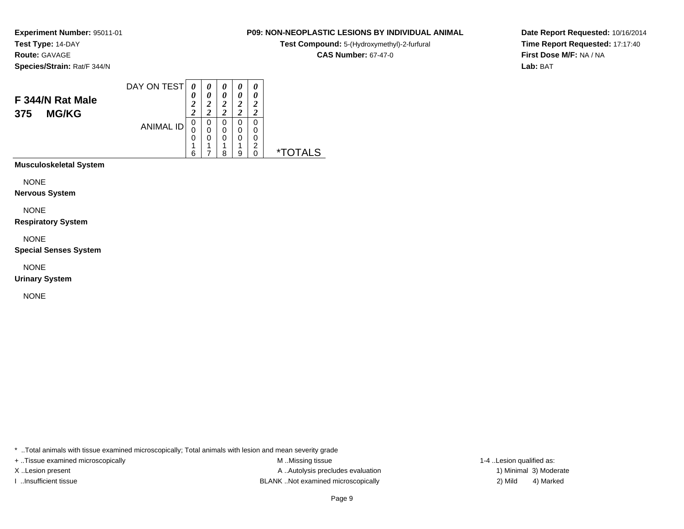**Route:** GAVAGE

**Species/Strain:** Rat/F 344/N

#### DAY ON TEST**F 344/N Rat Male375 MG/KG**ANIMAL ID*0 0 2 2* 0 0 0 1 6*0 0 2 2*0<br>0<br>0<br>1 7*0 0 2 2* 0 0 0 1 8*0 0 2 2* 0 0 0 1 9*0 0 2 2* 0 0 0 2 0 \*TOTALS

**Musculoskeletal System**

NONE

**Nervous System**

NONE

**Respiratory System**

NONE

**Special Senses System**

NONE

**Urinary System**

NONE

\* ..Total animals with tissue examined microscopically; Total animals with lesion and mean severity grade

+ ..Tissue examined microscopically examined microscopically examined as:  $M$  ..Missing tissue 1-4 ..Lesion qualified as: X..Lesion present **A ..Autolysis precludes evaluation** A ..Autolysis precludes evaluation 1) Minimal 3) Moderate I ..Insufficient tissue BLANK ..Not examined microscopically 2) Mild 4) Marked

**Date Report Requested:** 10/16/2014**Time Report Requested:** 17:17:40**First Dose M/F:** NA / NA**Lab:** BAT

# **P09: NON-NEOPLASTIC LESIONS BY INDIVIDUAL ANIMAL**

**Test Compound:** 5-(Hydroxymethyl)-2-furfural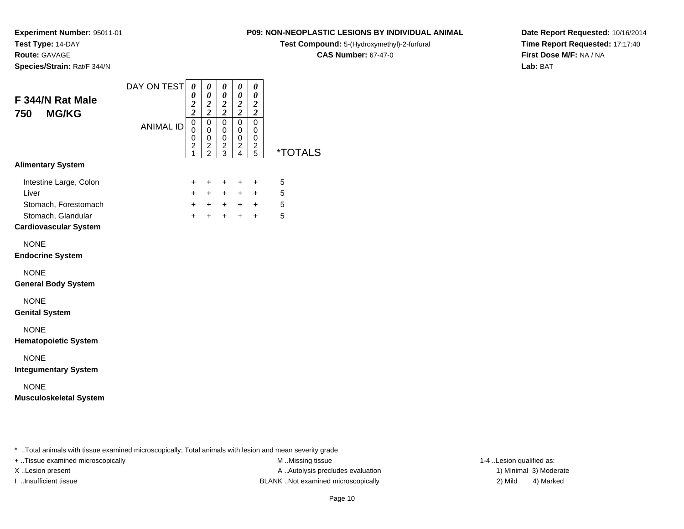**Route:** GAVAGE

**Species/Strain:** Rat/F 344/N

# **P09: NON-NEOPLASTIC LESIONS BY INDIVIDUAL ANIMAL**

**Test Compound:** 5-(Hydroxymethyl)-2-furfural

**CAS Number:** 67-47-0

**Date Report Requested:** 10/16/2014**Time Report Requested:** 17:17:40**First Dose M/F:** NA / NA**Lab:** BAT

| F 344/N Rat Male<br><b>MG/KG</b><br>750                                                                       | DAY ON TEST      | $\boldsymbol{\theta}$<br>0<br>$\frac{2}{2}$                                                  | 0<br>$\pmb{\theta}$<br>$\frac{2}{2}$                   | 0<br>$\pmb{\theta}$<br>$\frac{2}{2}$ | 0<br>0<br>$\frac{2}{2}$                                   | 0<br>$\pmb{\theta}$<br>$\frac{2}{2}$ |                           |
|---------------------------------------------------------------------------------------------------------------|------------------|----------------------------------------------------------------------------------------------|--------------------------------------------------------|--------------------------------------|-----------------------------------------------------------|--------------------------------------|---------------------------|
|                                                                                                               | <b>ANIMAL ID</b> | $\mathbf 0$<br>$\mathbf 0$<br>$\begin{smallmatrix} 0 \\ 2 \end{smallmatrix}$<br>$\mathbf{1}$ | $\pmb{0}$<br>$\mathbf 0$<br>$\pmb{0}$<br>$\frac{2}{2}$ | 0<br>0<br>$\pmb{0}$<br>$\frac{2}{3}$ | $\mathsf 0$<br>0<br>0<br>$\overline{a}$<br>$\overline{4}$ | $\mathbf 0$<br>0<br>0<br>$rac{2}{5}$ | *TOTALS                   |
| <b>Alimentary System</b>                                                                                      |                  |                                                                                              |                                                        |                                      |                                                           |                                      |                           |
| Intestine Large, Colon<br>Liver<br>Stomach, Forestomach<br>Stomach, Glandular<br><b>Cardiovascular System</b> |                  | $\ddot{}$<br>$+$<br>$+$<br>$+$                                                               | $\ddot{}$<br>$+$<br>$+$<br>$+$                         | $\ddot{}$<br>$+$<br>$+$<br>$+$       | $\ddot{}$<br>$+$<br>$+$                                   | $\ddot{}$<br>$+$<br>$+$ $+$<br>$+$   | 5<br>5<br>$\sqrt{5}$<br>5 |
| <b>NONE</b><br><b>Endocrine System</b>                                                                        |                  |                                                                                              |                                                        |                                      |                                                           |                                      |                           |
| <b>NONE</b><br><b>General Body System</b>                                                                     |                  |                                                                                              |                                                        |                                      |                                                           |                                      |                           |
| <b>NONE</b><br><b>Genital System</b>                                                                          |                  |                                                                                              |                                                        |                                      |                                                           |                                      |                           |
| <b>NONE</b><br><b>Hematopoietic System</b>                                                                    |                  |                                                                                              |                                                        |                                      |                                                           |                                      |                           |
| <b>NONE</b><br><b>Integumentary System</b>                                                                    |                  |                                                                                              |                                                        |                                      |                                                           |                                      |                           |
| <b>NONE</b><br><b>Musculoskeletal System</b>                                                                  |                  |                                                                                              |                                                        |                                      |                                                           |                                      |                           |
|                                                                                                               |                  |                                                                                              |                                                        |                                      |                                                           |                                      |                           |

\* ..Total animals with tissue examined microscopically; Total animals with lesion and mean severity grade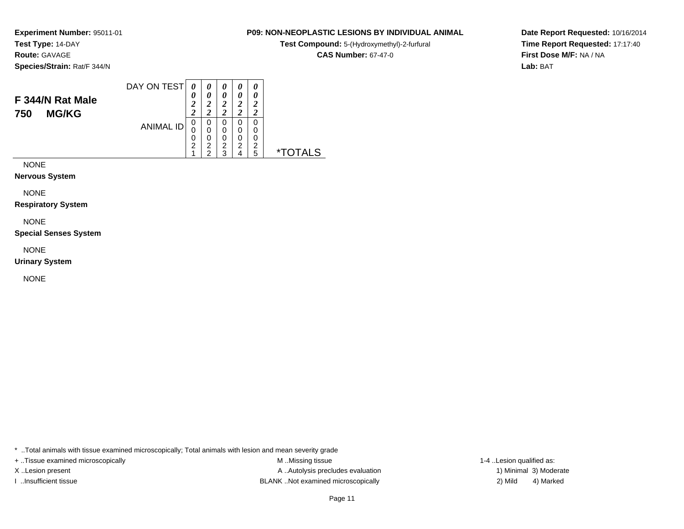**Route:** GAVAGE

**Species/Strain:** Rat/F 344/N

### DAY ON TEST**F 344/N Rat Male750 MG/KG**ANIMAL ID*0 0 2 2*0<br>0<br>0<br>2<br>1 *0 0 2 2*0<br>0<br>0<br>2<br>2 *0 0 2 2* 0 0 0 2 3*0 0 2 2* 0 0 0 2 4*0 0 2 2* 0 00<br>2<br>= 5 \*TOTALS

NONE

**Nervous System**

NONE

**Respiratory System**

NONE

**Special Senses System**

NONE

**Urinary System**

NONE

\* ..Total animals with tissue examined microscopically; Total animals with lesion and mean severity grade

+ ..Tissue examined microscopically examined microscopically examined as:  $M$  ..Missing tissue 1-4 ..Lesion qualified as: X..Lesion present **A ..Autolysis precludes evaluation** A ..Autolysis precludes evaluation 1) Minimal 3) Moderate I ..Insufficient tissue BLANK ..Not examined microscopically 2) Mild 4) Marked

**Date Report Requested:** 10/16/2014**Time Report Requested:** 17:17:40**First Dose M/F:** NA / NA**Lab:** BAT

### **P09: NON-NEOPLASTIC LESIONS BY INDIVIDUAL ANIMAL**

**Test Compound:** 5-(Hydroxymethyl)-2-furfural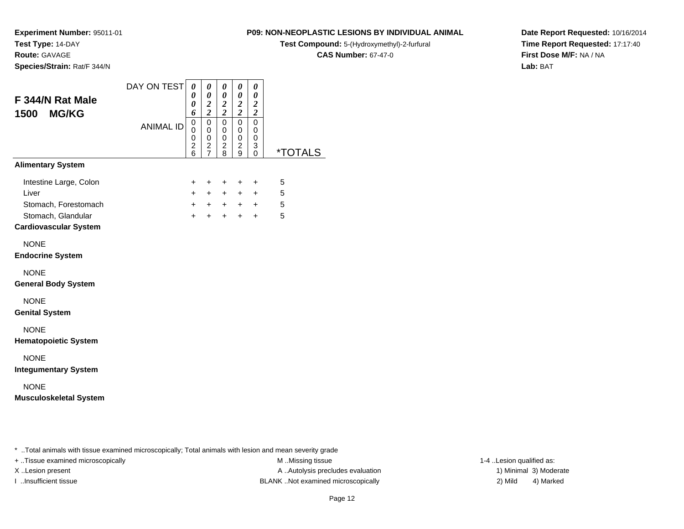**Test Type:** 14-DAY**Route:** GAVAGE

**Species/Strain:** Rat/F 344/N

**P09: NON-NEOPLASTIC LESIONS BY INDIVIDUAL ANIMAL**

**Test Compound:** 5-(Hydroxymethyl)-2-furfural

**CAS Number:** 67-47-0

**Date Report Requested:** 10/16/2014**Time Report Requested:** 17:17:40**First Dose M/F:** NA / NA**Lab:** BAT

| F 344/N Rat Male<br><b>MG/KG</b><br>1500                                                                      | DAY ON TEST      | 0<br>$\boldsymbol{\theta}$<br>0<br>6              | 0<br>$\pmb{\theta}$<br>$\frac{2}{2}$                   | 0<br>0<br>$\boldsymbol{2}$<br>$\overline{2}$ | 0<br>0<br>$\boldsymbol{2}$<br>$\overline{2}$ | 0<br>$\pmb{\theta}$<br>$\boldsymbol{2}$<br>$\bar{2}$ |                       |
|---------------------------------------------------------------------------------------------------------------|------------------|---------------------------------------------------|--------------------------------------------------------|----------------------------------------------|----------------------------------------------|------------------------------------------------------|-----------------------|
|                                                                                                               | <b>ANIMAL ID</b> | 0<br>0<br>$\boldsymbol{0}$<br>$\overline{2}$<br>6 | $\pmb{0}$<br>$\mathsf 0$<br>$\pmb{0}$<br>$\frac{2}{7}$ | $\mathbf 0$<br>0<br>0<br>$\overline{a}$<br>8 | $\mathbf 0$<br>0<br>0<br>$\overline{c}$<br>9 | 0<br>$\mathbf 0$<br>0<br>3<br>$\Omega$               | <i><b>*TOTALS</b></i> |
| <b>Alimentary System</b>                                                                                      |                  |                                                   |                                                        |                                              |                                              |                                                      |                       |
| Intestine Large, Colon<br>Liver<br>Stomach, Forestomach<br>Stomach, Glandular<br><b>Cardiovascular System</b> |                  | $\ddot{}$<br>$+$<br>$+$<br>$+$                    | $\ddot{}$<br>$+$<br>$+$<br>$\ddot{}$                   | $\ddot{}$<br>$+$<br>$+$<br>$+$               | $+$<br>$+$<br>$+$<br>$\ddot{}$               | $\ddot{}$<br>$+$<br>$+$<br>$\ddot{}$                 | 5<br>5<br>5<br>5      |
| <b>NONE</b><br><b>Endocrine System</b>                                                                        |                  |                                                   |                                                        |                                              |                                              |                                                      |                       |
| <b>NONE</b><br><b>General Body System</b>                                                                     |                  |                                                   |                                                        |                                              |                                              |                                                      |                       |
| <b>NONE</b><br><b>Genital System</b>                                                                          |                  |                                                   |                                                        |                                              |                                              |                                                      |                       |
| <b>NONE</b><br><b>Hematopoietic System</b>                                                                    |                  |                                                   |                                                        |                                              |                                              |                                                      |                       |
| <b>NONE</b><br><b>Integumentary System</b>                                                                    |                  |                                                   |                                                        |                                              |                                              |                                                      |                       |
| <b>NONE</b><br><b>Musculoskeletal System</b>                                                                  |                  |                                                   |                                                        |                                              |                                              |                                                      |                       |

\* ..Total animals with tissue examined microscopically; Total animals with lesion and mean severity grade

+ ..Tissue examined microscopically M ...Missing tissue 1-4 ...

X..Lesion present **A ..Autolysis precludes evaluation** A ..Autolysis precludes evaluation 1) Minimal 3) Moderate I ..Insufficient tissue BLANK ..Not examined microscopically 2) Mild 4) Marked

1-4 ..Lesion qualified as: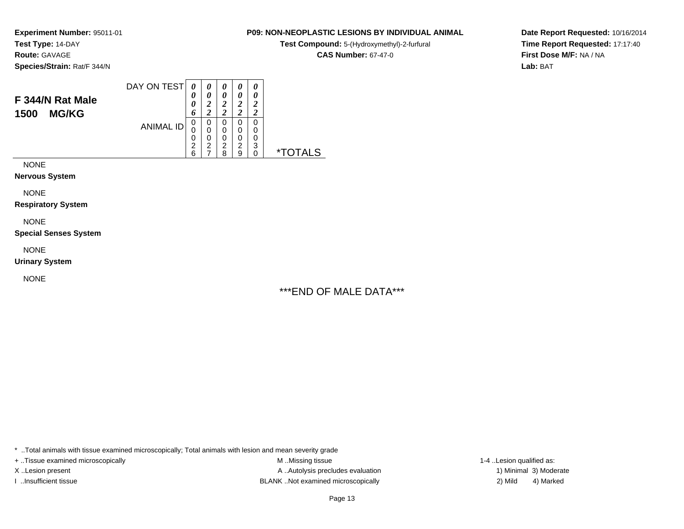**Route:** GAVAGE

**Species/Strain:** Rat/F 344/N

### DAY ON TEST**F 344/N Rat Male1500 MG/KG**ANIMAL ID*0 0 0 6* 0 0 0 2 6*0 0 2 2*0<br>0<br>0<br>2<br>7 *0 0 2 2* 0 0 0 2 8*0 0 2 2* 0 0 0 2 9*0 0 2 2* 0 0 0 3 0 \*TOTALS

NONE

**Nervous System**

NONE

**Respiratory System**

NONE

**Special Senses System**

NONE

**Urinary System**

NONE

# \*\*\*END OF MALE DATA\*\*\*

**P09: NON-NEOPLASTIC LESIONS BY INDIVIDUAL ANIMALTest Compound:** 5-(Hydroxymethyl)-2-furfural **CAS Number:** 67-47-0

\* ..Total animals with tissue examined microscopically; Total animals with lesion and mean severity grade

+ ..Tissue examined microscopically examined microscopically examined as:  $M$  ..Missing tissue 1-4 ..Lesion qualified as: X..Lesion present **A ..Autolysis precludes evaluation** A ..Autolysis precludes evaluation 1) Minimal 3) Moderate I ..Insufficient tissue BLANK ..Not examined microscopically 2) Mild 4) Marked

**Date Report Requested:** 10/16/2014**Time Report Requested:** 17:17:40**First Dose M/F:** NA / NA**Lab:** BAT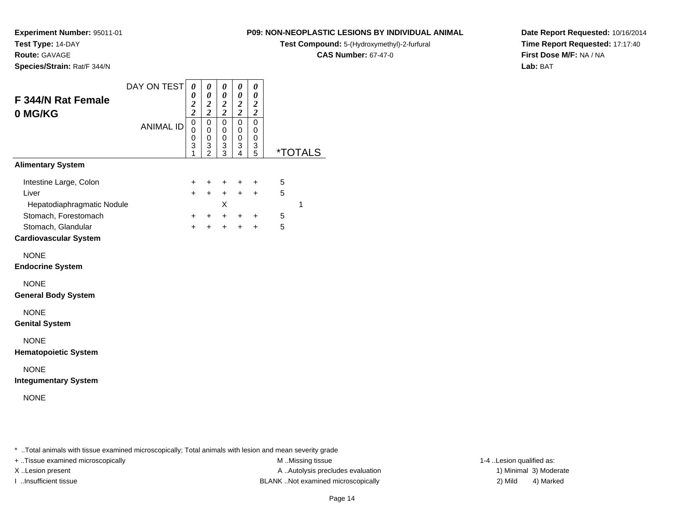**Test Type:** 14-DAY

**Route:** GAVAGE

**Species/Strain:** Rat/F 344/N

# **P09: NON-NEOPLASTIC LESIONS BY INDIVIDUAL ANIMAL**

**Test Compound:** 5-(Hydroxymethyl)-2-furfural

**CAS Number:** 67-47-0

**Date Report Requested:** 10/16/2014**Time Report Requested:** 17:17:40**First Dose M/F:** NA / NA**Lab:** BAT

| F 344/N Rat Female<br>0 MG/KG                                                                                                               | DAY ON TEST      | $\boldsymbol{\theta}$<br>$\boldsymbol{\theta}$<br>$\boldsymbol{2}$<br>$\overline{c}$ | 0<br>$\boldsymbol{\theta}$<br>$\frac{2}{2}$                | 0<br>$\pmb{\theta}$<br>$\boldsymbol{2}$<br>$\overline{2}$ | 0<br>$\pmb{\theta}$<br>$\frac{2}{2}$       | 0<br>$\boldsymbol{\theta}$<br>$\boldsymbol{2}$<br>$\overline{c}$ |                  |                       |
|---------------------------------------------------------------------------------------------------------------------------------------------|------------------|--------------------------------------------------------------------------------------|------------------------------------------------------------|-----------------------------------------------------------|--------------------------------------------|------------------------------------------------------------------|------------------|-----------------------|
|                                                                                                                                             | <b>ANIMAL ID</b> | $\mathbf 0$<br>$\mathsf 0$<br>0<br>3<br>1                                            | $\pmb{0}$<br>$\pmb{0}$<br>$\pmb{0}$<br>3<br>$\overline{2}$ | 0<br>0<br>0<br>3<br>3                                     | $\pmb{0}$<br>0<br>0<br>3<br>$\overline{4}$ | $\mathbf 0$<br>0<br>0<br>3<br>$\overline{5}$                     |                  | <i><b>*TOTALS</b></i> |
| <b>Alimentary System</b>                                                                                                                    |                  |                                                                                      |                                                            |                                                           |                                            |                                                                  |                  |                       |
| Intestine Large, Colon<br>Liver<br>Hepatodiaphragmatic Nodule<br>Stomach, Forestomach<br>Stomach, Glandular<br><b>Cardiovascular System</b> |                  | +<br>$+$<br>$+$<br>$+$                                                               | $\ddot{}$<br>$+$<br>$+$<br>$+$                             | $\pm$<br>$+$<br>X<br>$+$<br>$+$                           | $\ddot{}$<br>$+$<br>$+$<br>$+$             | ÷<br>$+$<br>$\ddot{}$<br>$\ddot{}$                               | 5<br>5<br>5<br>5 | 1                     |
| <b>NONE</b><br><b>Endocrine System</b>                                                                                                      |                  |                                                                                      |                                                            |                                                           |                                            |                                                                  |                  |                       |
| <b>NONE</b><br><b>General Body System</b>                                                                                                   |                  |                                                                                      |                                                            |                                                           |                                            |                                                                  |                  |                       |
| <b>NONE</b><br><b>Genital System</b>                                                                                                        |                  |                                                                                      |                                                            |                                                           |                                            |                                                                  |                  |                       |
| <b>NONE</b><br><b>Hematopoietic System</b>                                                                                                  |                  |                                                                                      |                                                            |                                                           |                                            |                                                                  |                  |                       |
| <b>NONE</b><br><b>Integumentary System</b>                                                                                                  |                  |                                                                                      |                                                            |                                                           |                                            |                                                                  |                  |                       |
| <b>NONE</b>                                                                                                                                 |                  |                                                                                      |                                                            |                                                           |                                            |                                                                  |                  |                       |

\* ..Total animals with tissue examined microscopically; Total animals with lesion and mean severity grade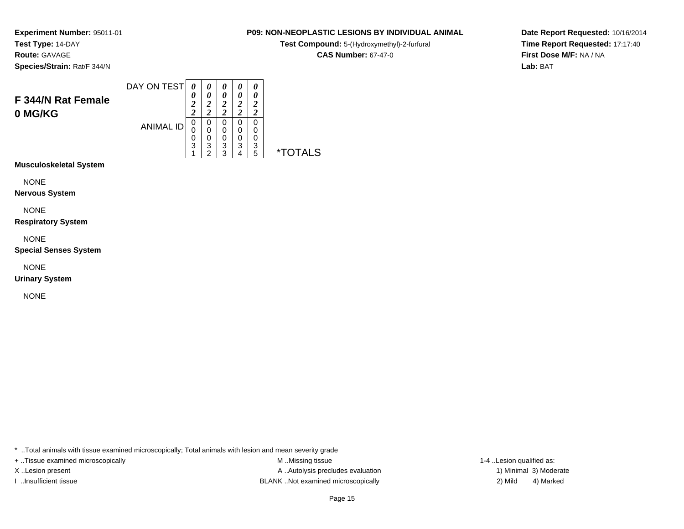**Route:** GAVAGE

**Species/Strain:** Rat/F 344/N

# **P09: NON-NEOPLASTIC LESIONS BY INDIVIDUAL ANIMAL**

**Test Compound:** 5-(Hydroxymethyl)-2-furfural

**CAS Number:** 67-47-0

 $\overline{\phantom{0}}$ 

**Date Report Requested:** 10/16/2014**Time Report Requested:** 17:17:40**First Dose M/F:** NA / NA**Lab:** BAT

| F 344/N Rat Female<br>0 MG/KG | DAY ON TEST      | 0<br>0<br>2<br>2 | $\theta$<br>0<br>າ<br>∠<br>∍<br>$\overline{2}$ | 0<br>0<br>ာ<br>ำ      | 0<br>0<br>າ<br>າ | 0<br>ำ           |    |
|-------------------------------|------------------|------------------|------------------------------------------------|-----------------------|------------------|------------------|----|
|                               | <b>ANIMAL ID</b> | 0<br>0<br>0<br>3 | 0<br>0<br>0<br>3<br>ົ                          | O<br>0<br>0<br>3<br>ຈ | O<br>0<br>0<br>3 | 0<br>0<br>3<br>5 | ×. |

**Musculoskeletal System**

NONE

**Nervous System**

NONE

**Respiratory System**

NONE

**Special Senses System**

NONE

**Urinary System**

NONE

\* ..Total animals with tissue examined microscopically; Total animals with lesion and mean severity grade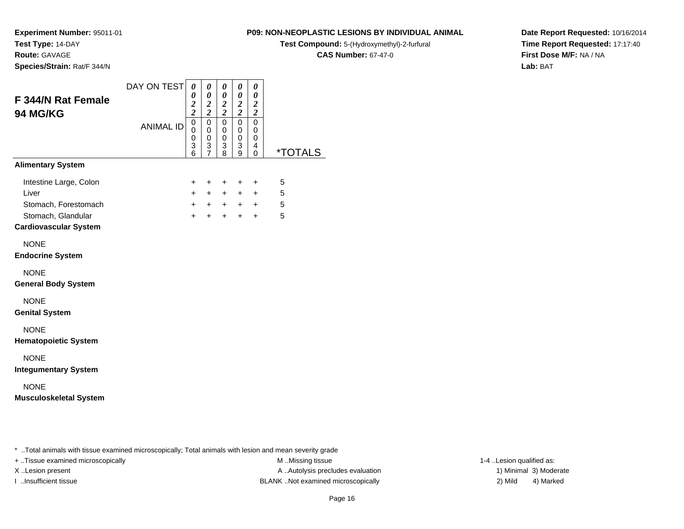**Route:** GAVAGE

**Species/Strain:** Rat/F 344/N

# **P09: NON-NEOPLASTIC LESIONS BY INDIVIDUAL ANIMAL**

**Test Compound:** 5-(Hydroxymethyl)-2-furfural

**CAS Number:** 67-47-0

**Date Report Requested:** 10/16/2014**Time Report Requested:** 17:17:40**First Dose M/F:** NA / NA**Lab:** BAT

| F 344/N Rat Female<br>94 MG/KG                                                                                | DAY ON TEST      | 0<br>0<br>$\overline{\mathbf{c}}$<br>$\overline{\mathbf{c}}$<br>$\mathsf 0$ | 0<br>$\boldsymbol{\theta}$<br>$\boldsymbol{2}$<br>$\overline{2}$<br>$\mathbf 0$ | 0<br>0<br>$\boldsymbol{2}$<br>$\overline{2}$<br>$\mathbf 0$ | 0<br>0<br>$\boldsymbol{2}$<br>$\overline{c}$<br>0 | 0<br>$\boldsymbol{\theta}$<br>$\boldsymbol{2}$<br>$\boldsymbol{2}$<br>$\mathbf 0$ |                       |
|---------------------------------------------------------------------------------------------------------------|------------------|-----------------------------------------------------------------------------|---------------------------------------------------------------------------------|-------------------------------------------------------------|---------------------------------------------------|-----------------------------------------------------------------------------------|-----------------------|
|                                                                                                               | <b>ANIMAL ID</b> | $\mathbf 0$<br>$\boldsymbol{0}$<br>$\ensuremath{\mathsf{3}}$<br>6           | $\mathbf 0$<br>0<br>3<br>$\overline{7}$                                         | $\mathbf 0$<br>0<br>3<br>8                                  | 0<br>0<br>3<br>9                                  | 0<br>0<br>4<br>$\Omega$                                                           | <i><b>*TOTALS</b></i> |
| <b>Alimentary System</b>                                                                                      |                  |                                                                             |                                                                                 |                                                             |                                                   |                                                                                   |                       |
| Intestine Large, Colon<br>Liver<br>Stomach, Forestomach<br>Stomach, Glandular<br><b>Cardiovascular System</b> |                  | $\ddot{}$<br>$+$<br>$+$<br>$+$                                              | $\ddot{}$<br>$+$<br>$+$<br>$+$                                                  | $\ddot{}$<br>$+$<br>$+$                                     | $\ddot{}$<br>$+$<br>$+$ $+$ $+$<br>$+$            | $\ddot{}$<br>$+$<br>$+$                                                           | 5<br>5<br>5<br>5      |
| <b>NONE</b><br><b>Endocrine System</b>                                                                        |                  |                                                                             |                                                                                 |                                                             |                                                   |                                                                                   |                       |
| <b>NONE</b><br><b>General Body System</b>                                                                     |                  |                                                                             |                                                                                 |                                                             |                                                   |                                                                                   |                       |
| <b>NONE</b><br><b>Genital System</b>                                                                          |                  |                                                                             |                                                                                 |                                                             |                                                   |                                                                                   |                       |
| <b>NONE</b><br><b>Hematopoietic System</b>                                                                    |                  |                                                                             |                                                                                 |                                                             |                                                   |                                                                                   |                       |
| <b>NONE</b><br><b>Integumentary System</b>                                                                    |                  |                                                                             |                                                                                 |                                                             |                                                   |                                                                                   |                       |
| <b>NONE</b><br><b>Musculoskeletal System</b>                                                                  |                  |                                                                             |                                                                                 |                                                             |                                                   |                                                                                   |                       |
|                                                                                                               |                  |                                                                             |                                                                                 |                                                             |                                                   |                                                                                   |                       |

\* ..Total animals with tissue examined microscopically; Total animals with lesion and mean severity grade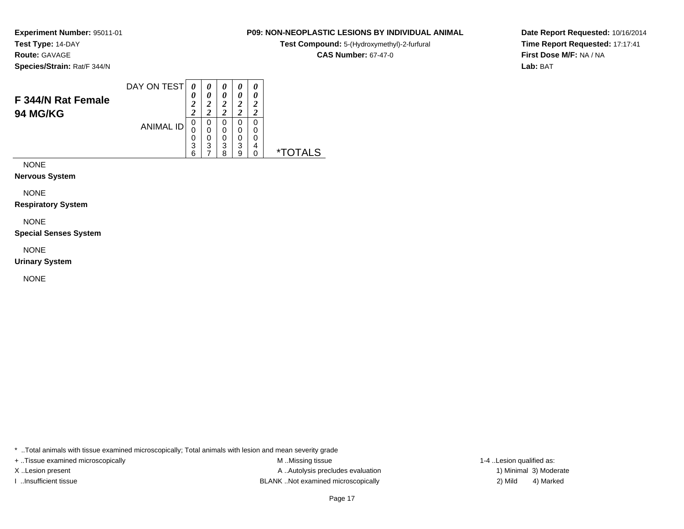**Route:** GAVAGE

**Species/Strain:** Rat/F 344/N

# **P09: NON-NEOPLASTIC LESIONS BY INDIVIDUAL ANIMAL**

**Test Compound:** 5-(Hydroxymethyl)-2-furfural

**CAS Number:** 67-47-0

**Date Report Requested:** 10/16/2014**Time Report Requested:** 17:17:41**First Dose M/F:** NA / NA**Lab:** BAT

| F 344/N Rat Female | DAY ON TEST      | 0           |   |        | 0 |   |   |
|--------------------|------------------|-------------|---|--------|---|---|---|
| <b>94 MG/KG</b>    |                  | ◠<br>∠<br>◠ |   | ∠      | ി |   |   |
|                    | <b>ANIMAL ID</b> | 0<br>0      | O | U<br>0 |   |   |   |
|                    |                  | 0<br>3      | 3 | 0<br>3 | 3 | 4 |   |
|                    |                  | 6           |   | Ω      |   |   | * |

NONE

**Nervous System**

NONE

**Respiratory System**

NONE

**Special Senses System**

NONE

**Urinary System**

NONE

\* ..Total animals with tissue examined microscopically; Total animals with lesion and mean severity grade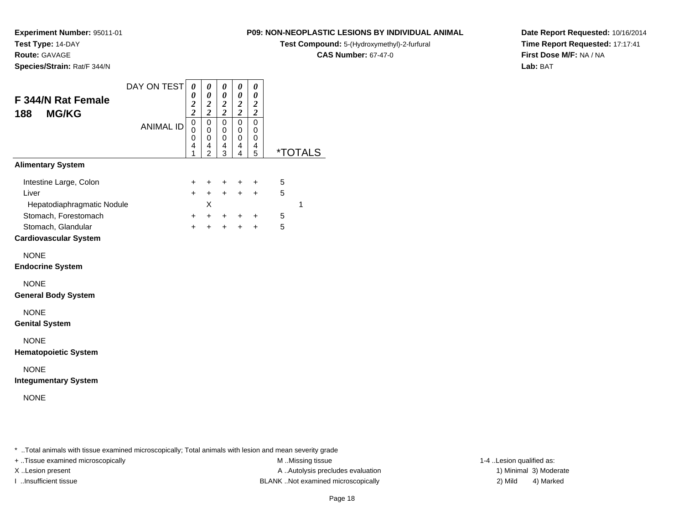**Test Type:** 14-DAY**Route:** GAVAGE

**Species/Strain:** Rat/F 344/N

# **P09: NON-NEOPLASTIC LESIONS BY INDIVIDUAL ANIMAL**

**Test Compound:** 5-(Hydroxymethyl)-2-furfural

**CAS Number:** 67-47-0

**Date Report Requested:** 10/16/2014**Time Report Requested:** 17:17:41**First Dose M/F:** NA / NA**Lab:** BAT

| <b>F 344/N Rat Female</b><br><b>MG/KG</b><br>188                           | DAY ON TEST      | $\boldsymbol{\theta}$<br>$\boldsymbol{\theta}$<br>$\frac{2}{2}$ | 0<br>$\boldsymbol{\theta}$<br>$\overline{\mathbf{c}}$<br>$\overline{2}$ | 0<br>$\boldsymbol{\theta}$<br>$\frac{2}{2}$ | 0<br>$\boldsymbol{\theta}$<br>$\boldsymbol{2}$<br>$\overline{2}$ | 0<br>0<br>$\boldsymbol{2}$<br>$\overline{\mathbf{c}}$ |        |                       |
|----------------------------------------------------------------------------|------------------|-----------------------------------------------------------------|-------------------------------------------------------------------------|---------------------------------------------|------------------------------------------------------------------|-------------------------------------------------------|--------|-----------------------|
|                                                                            | <b>ANIMAL ID</b> | $\overline{0}$<br>$\mathbf 0$<br>0<br>4<br>1                    | 0<br>0<br>0<br>4<br>$\overline{2}$                                      | 0<br>0<br>$\mathbf 0$<br>4<br>3             | $\mathbf 0$<br>0<br>$\mathbf 0$<br>4<br>4                        | $\mathbf 0$<br>$\Omega$<br>0<br>4<br>5                |        | <i><b>*TOTALS</b></i> |
| <b>Alimentary System</b>                                                   |                  |                                                                 |                                                                         |                                             |                                                                  |                                                       |        |                       |
| Intestine Large, Colon<br>Liver<br>Hepatodiaphragmatic Nodule              |                  | $\ddot{}$<br>$\ddot{}$                                          | $\ddot{}$<br>$+$<br>X                                                   | $\ddot{}$<br>$+$                            | $\pm$<br>$+$                                                     | $\ddot{}$<br>$\ddot{}$                                | 5<br>5 | 1                     |
| Stomach, Forestomach<br>Stomach, Glandular<br><b>Cardiovascular System</b> |                  | $\ddot{}$<br>$+$                                                | $+$                                                                     | $+$ $+$<br>$+$                              | $+$<br>$+$                                                       | $\ddot{}$<br>$+$                                      | 5<br>5 |                       |
| <b>NONE</b><br><b>Endocrine System</b>                                     |                  |                                                                 |                                                                         |                                             |                                                                  |                                                       |        |                       |
| <b>NONE</b><br><b>General Body System</b>                                  |                  |                                                                 |                                                                         |                                             |                                                                  |                                                       |        |                       |
| <b>NONE</b><br><b>Genital System</b>                                       |                  |                                                                 |                                                                         |                                             |                                                                  |                                                       |        |                       |
| <b>NONE</b><br><b>Hematopoietic System</b>                                 |                  |                                                                 |                                                                         |                                             |                                                                  |                                                       |        |                       |
| <b>NONE</b><br><b>Integumentary System</b>                                 |                  |                                                                 |                                                                         |                                             |                                                                  |                                                       |        |                       |
| <b>NONE</b>                                                                |                  |                                                                 |                                                                         |                                             |                                                                  |                                                       |        |                       |

\* ..Total animals with tissue examined microscopically; Total animals with lesion and mean severity grade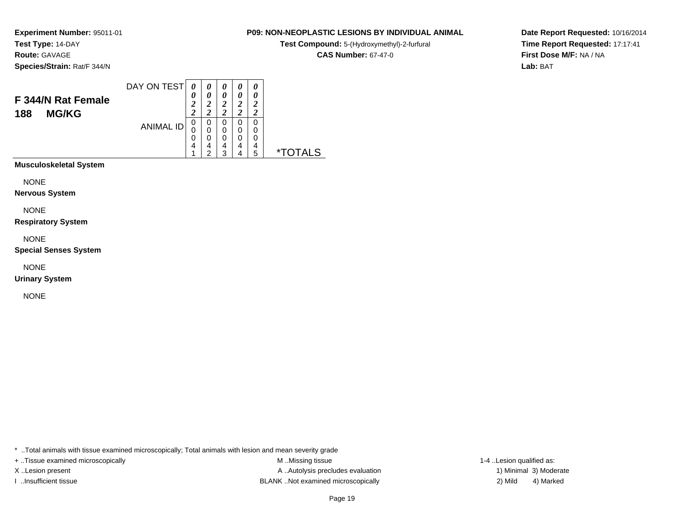**Route:** GAVAGE

**Species/Strain:** Rat/F 344/N

**Test Compound:** 5-(Hydroxymethyl)-2-furfural

**CAS Number:** 67-47-0

**Date Report Requested:** 10/16/2014**Time Report Requested:** 17:17:41**First Dose M/F:** NA / NA**Lab:** BAT

|                           | DAY ON TEST      |               |                       | 0      | 0        | 0        |    |
|---------------------------|------------------|---------------|-----------------------|--------|----------|----------|----|
|                           |                  |               |                       |        |          |          |    |
| <b>F 344/N Rat Female</b> |                  | 0             | $\boldsymbol{\theta}$ | 0      | 0        | 0        |    |
|                           |                  | <u>า</u><br>◢ |                       | ኃ<br>◢ | ኃ        | ኃ        |    |
| <b>MG/KG</b><br>188       |                  | ി             |                       | ി      | <u>า</u> | <u>า</u> |    |
|                           | <b>ANIMAL ID</b> | 0             | 0                     | 0      | 0        | 0        |    |
|                           |                  | 0             | 0                     | 0      | 0        | 0        |    |
|                           |                  | 0             | 0                     | 0      | 0        | 0        |    |
|                           |                  | 4             | 4                     | 4      | 4        | 4        |    |
|                           |                  |               | ◠                     | າ      | Δ        | 5        |    |
|                           |                  |               |                       |        |          |          | ∗⊤ |

**Musculoskeletal System**

NONE

**Nervous System**

NONE

**Respiratory System**

NONE

**Special Senses System**

NONE

**Urinary System**

NONE

\* ..Total animals with tissue examined microscopically; Total animals with lesion and mean severity grade

+ ..Tissue examined microscopically M ...Missing tissue 1-4 ...

X..Lesion present **A ..Autolysis precludes evaluation** A ..Autolysis precludes evaluation 1) Minimal 3) Moderate I ..Insufficient tissue BLANK ..Not examined microscopically 2) Mild 4) Marked

1-4 ..Lesion qualified as: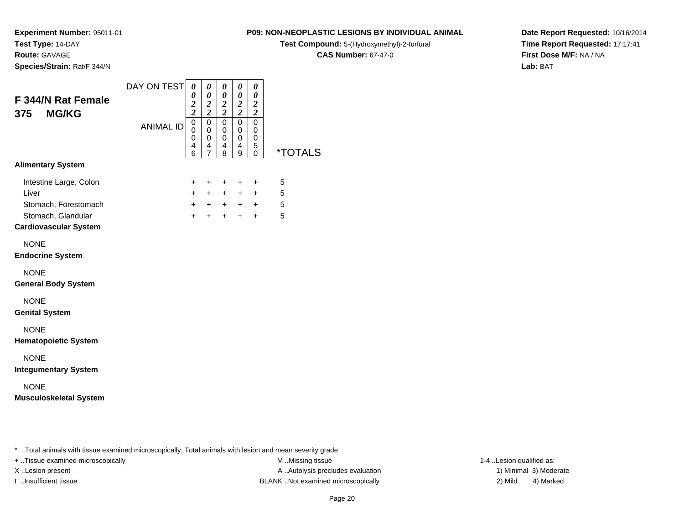**Route:** GAVAGE

**Species/Strain:** Rat/F 344/N

**P09: NON-NEOPLASTIC LESIONS BY INDIVIDUAL ANIMAL**

**Test Compound:** 5-(Hydroxymethyl)-2-furfural

**CAS Number:** 67-47-0

**Date Report Requested:** 10/16/2014**Time Report Requested:** 17:17:41**First Dose M/F:** NA / NA**Lab:** BAT

| F 344/N Rat Female<br><b>MG/KG</b><br>375    | DAY ON TEST      | 0<br>0<br>$\boldsymbol{2}$<br>$\overline{\mathbf{c}}$ | 0<br>0<br>$\boldsymbol{2}$<br>$\overline{c}$           | 0<br>0<br>$\boldsymbol{2}$<br>$\overline{\mathbf{c}}$ | 0<br>0<br>$\frac{2}{2}$                   | 0<br>0<br>$\boldsymbol{2}$<br>$\overline{\mathbf{c}}$ |                       |
|----------------------------------------------|------------------|-------------------------------------------------------|--------------------------------------------------------|-------------------------------------------------------|-------------------------------------------|-------------------------------------------------------|-----------------------|
|                                              | <b>ANIMAL ID</b> | $\mathbf 0$<br>$\mathbf 0$<br>0<br>4<br>6             | $\mathbf 0$<br>$\mathbf 0$<br>0<br>4<br>$\overline{7}$ | $\mathbf 0$<br>$\mathbf 0$<br>0<br>4<br>8             | $\mathbf 0$<br>$\mathbf 0$<br>0<br>4<br>9 | $\mathbf 0$<br>0<br>0<br>5<br>0                       | <i><b>*TOTALS</b></i> |
| <b>Alimentary System</b>                     |                  |                                                       |                                                        |                                                       |                                           |                                                       |                       |
| Intestine Large, Colon<br>Liver              |                  | +<br>$+$                                              | +<br>$+$                                               | +<br>$+$                                              | $\ddot{}$<br>$\ddot{}$                    | +<br>$+$                                              | 5<br>5                |
| Stomach, Forestomach<br>Stomach, Glandular   |                  | $+$<br>$\ddot{+}$                                     | $+$<br>$\ddot{}$                                       | $+$<br>$+$                                            | $+$<br>$\ddot{}$                          | $+$<br>$+$                                            | 5<br>5                |
| <b>Cardiovascular System</b>                 |                  |                                                       |                                                        |                                                       |                                           |                                                       |                       |
| <b>NONE</b><br><b>Endocrine System</b>       |                  |                                                       |                                                        |                                                       |                                           |                                                       |                       |
| <b>NONE</b><br><b>General Body System</b>    |                  |                                                       |                                                        |                                                       |                                           |                                                       |                       |
| <b>NONE</b><br><b>Genital System</b>         |                  |                                                       |                                                        |                                                       |                                           |                                                       |                       |
| <b>NONE</b><br><b>Hematopoietic System</b>   |                  |                                                       |                                                        |                                                       |                                           |                                                       |                       |
| <b>NONE</b><br><b>Integumentary System</b>   |                  |                                                       |                                                        |                                                       |                                           |                                                       |                       |
| <b>NONE</b><br><b>Musculoskeletal System</b> |                  |                                                       |                                                        |                                                       |                                           |                                                       |                       |
|                                              |                  |                                                       |                                                        |                                                       |                                           |                                                       |                       |

..Total animals with tissue examined microscopically; Total animals with lesion and mean severity grade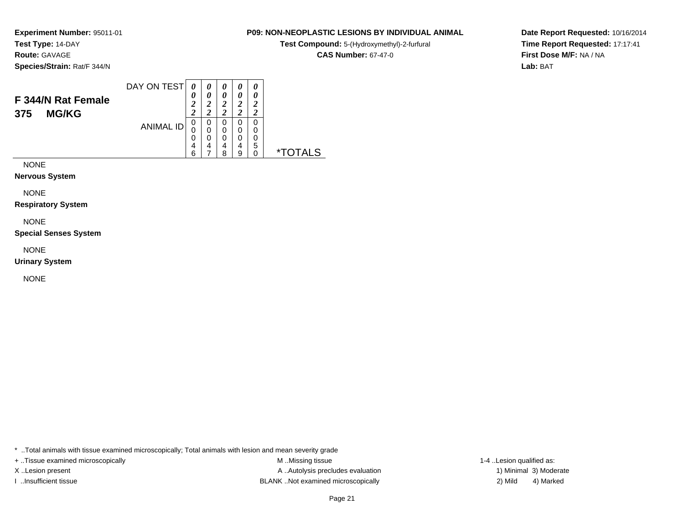**Route:** GAVAGE

**Species/Strain:** Rat/F 344/N

### DAY ON TEST**F 344/N Rat Female375 MG/KG**ANIMAL ID*0 0 2 2*0<br>0<br>0<br>6<br>6 *0 0 2 2*0<br>0<br>0<br>7<br>7 *0 0 2 2* 0 0 0 4 8*0 0 2 2* 0 0 0 4 9*0 0 2 2* 0 0 0 5 0 \*TOTALS

NONE

**Nervous System**

NONE

**Respiratory System**

NONE

**Special Senses System**

NONE

**Urinary System**

NONE

\* ..Total animals with tissue examined microscopically; Total animals with lesion and mean severity grade

+ ..Tissue examined microscopically examined microscopically examined as:  $M$  ..Missing tissue 1-4 ..Lesion qualified as: X..Lesion present **A ..Autolysis precludes evaluation** A ..Autolysis precludes evaluation 1) Minimal 3) Moderate I ..Insufficient tissue BLANK ..Not examined microscopically 2) Mild 4) Marked

**Date Report Requested:** 10/16/2014**Time Report Requested:** 17:17:41**First Dose M/F:** NA / NA**Lab:** BAT

# **P09: NON-NEOPLASTIC LESIONS BY INDIVIDUAL ANIMAL**

**Test Compound:** 5-(Hydroxymethyl)-2-furfural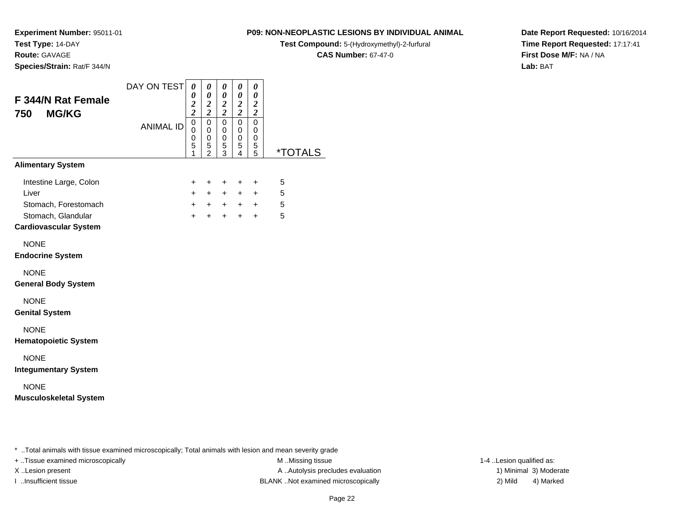**Route:** GAVAGE

**Species/Strain:** Rat/F 344/N

# **P09: NON-NEOPLASTIC LESIONS BY INDIVIDUAL ANIMAL**

**Test Compound:** 5-(Hydroxymethyl)-2-furfural

**CAS Number:** 67-47-0

**Date Report Requested:** 10/16/2014**Time Report Requested:** 17:17:41**First Dose M/F:** NA / NA**Lab:** BAT

| F 344/N Rat Female<br><b>MG/KG</b><br>750                                                                     | DAY ON TEST      | $\boldsymbol{\theta}$<br>$\boldsymbol{\theta}$<br>$\frac{2}{2}$  | 0<br>$\pmb{\theta}$<br>$\frac{2}{2}$                 | 0<br>$\boldsymbol{\theta}$<br>$\frac{2}{2}$ | 0<br>0<br>$\frac{2}{2}$         | $\pmb{\theta}$<br>$\pmb{\theta}$<br>$\frac{2}{2}$ |                       |
|---------------------------------------------------------------------------------------------------------------|------------------|------------------------------------------------------------------|------------------------------------------------------|---------------------------------------------|---------------------------------|---------------------------------------------------|-----------------------|
|                                                                                                               | <b>ANIMAL ID</b> | $\mathbf 0$<br>$\mathbf 0$<br>$\mathbf 0$<br>$\overline{5}$<br>1 | $\pmb{0}$<br>0<br>$\mathbf 0$<br>5<br>$\overline{2}$ | 0<br>0<br>$\mathsf 0$<br>5<br>3             | $\mathsf 0$<br>0<br>0<br>5<br>4 | 0<br>0<br>0<br>5<br>5                             | <i><b>*TOTALS</b></i> |
| <b>Alimentary System</b>                                                                                      |                  |                                                                  |                                                      |                                             |                                 |                                                   |                       |
| Intestine Large, Colon<br>Liver<br>Stomach, Forestomach<br>Stomach, Glandular<br><b>Cardiovascular System</b> |                  | $\ddot{}$<br>$+$<br>$+$<br>$+$                                   | $\ddot{}$<br>$\ddot{}$<br>$+$<br>$\ddot{}$           | $\ddot{}$<br>$+$<br>$+$<br>$\ddot{}$        | $\ddot{}$<br>$+$<br>$+$<br>+    | $\ddot{}$<br>$+$<br>$+$<br>$\ddot{}$              | 5<br>5<br>5<br>5      |
| <b>NONE</b><br><b>Endocrine System</b>                                                                        |                  |                                                                  |                                                      |                                             |                                 |                                                   |                       |
| <b>NONE</b><br><b>General Body System</b>                                                                     |                  |                                                                  |                                                      |                                             |                                 |                                                   |                       |
| <b>NONE</b><br><b>Genital System</b>                                                                          |                  |                                                                  |                                                      |                                             |                                 |                                                   |                       |
| <b>NONE</b><br><b>Hematopoietic System</b>                                                                    |                  |                                                                  |                                                      |                                             |                                 |                                                   |                       |
| <b>NONE</b><br><b>Integumentary System</b>                                                                    |                  |                                                                  |                                                      |                                             |                                 |                                                   |                       |
| <b>NONE</b><br><b>Musculoskeletal System</b>                                                                  |                  |                                                                  |                                                      |                                             |                                 |                                                   |                       |

\* ..Total animals with tissue examined microscopically; Total animals with lesion and mean severity grade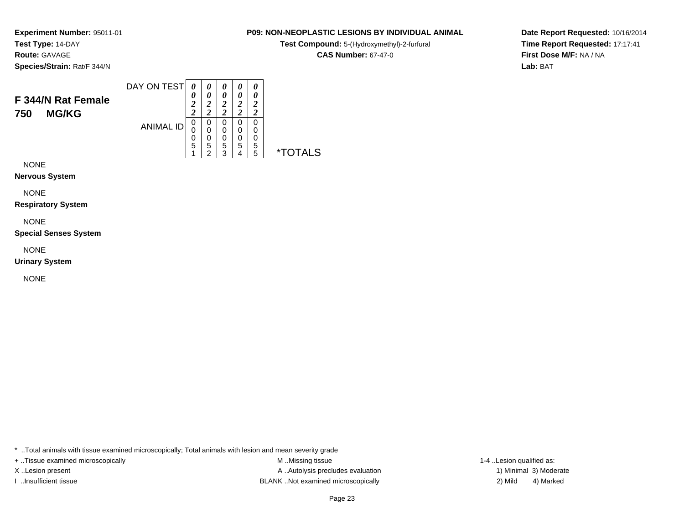**Route:** GAVAGE

**Species/Strain:** Rat/F 344/N

### DAY ON TEST**F 344/N Rat Female***0 0 20 0 2 20 0 2 20 0 2 20 02 2*

0<br>0<br>0<br>5<br>2

0

0

0

0<br>0<br>5<br>5

5 \*TOTALS

| <b>MG/KG</b> |                                                  |  |
|--------------|--------------------------------------------------|--|
|              | ANIMAL ID $\begin{bmatrix} 0 \\ 0 \end{bmatrix}$ |  |
|              |                                                  |  |

NONE

**750** 

**Nervous System**

NONE

**Respiratory System**

NONE

**Special Senses System**

NONE

**Urinary System**

NONE

\* ..Total animals with tissue examined microscopically; Total animals with lesion and mean severity grade

+ ..Tissue examined microscopically examined microscopically examined as:  $M$  ..Missing tissue 1-4 ..Lesion qualified as: X..Lesion present **A ..Autolysis precludes evaluation** A ..Autolysis precludes evaluation 1) Minimal 3) Moderate I ..Insufficient tissue BLANK ..Not examined microscopically 2) Mild 4) Marked

**Date Report Requested:** 10/16/2014**Time Report Requested:** 17:17:41**First Dose M/F:** NA / NA**Lab:** BAT

# **P09: NON-NEOPLASTIC LESIONS BY INDIVIDUAL ANIMAL**

**Test Compound:** 5-(Hydroxymethyl)-2-furfural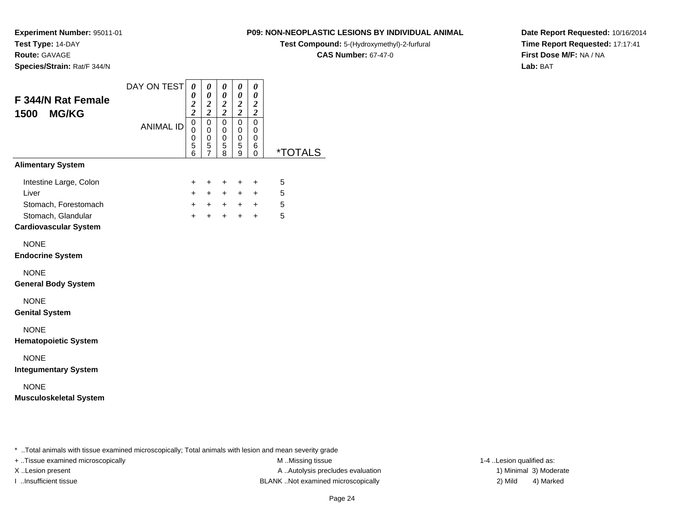**Route:** GAVAGE

**Species/Strain:** Rat/F 344/N

# **P09: NON-NEOPLASTIC LESIONS BY INDIVIDUAL ANIMAL**

**Test Compound:** 5-(Hydroxymethyl)-2-furfural

**CAS Number:** 67-47-0

**Date Report Requested:** 10/16/2014**Time Report Requested:** 17:17:41**First Dose M/F:** NA / NA**Lab:** BAT

| F 344/N Rat Female<br>1500 MG/KG                                                                              | DAY ON TEST      | 0<br>0<br>$\overline{\mathbf{c}}$<br>$\overline{2}$ | 0<br>$\boldsymbol{\theta}$<br>$\boldsymbol{2}$<br>$\overline{2}$ | 0<br>$\pmb{\theta}$<br>$\boldsymbol{2}$<br>$\overline{2}$ | 0<br>0<br>$\boldsymbol{2}$<br>$\overline{2}$ | 0<br>$\boldsymbol{\theta}$<br>$\boldsymbol{2}$<br>$\overline{c}$ |                       |
|---------------------------------------------------------------------------------------------------------------|------------------|-----------------------------------------------------|------------------------------------------------------------------|-----------------------------------------------------------|----------------------------------------------|------------------------------------------------------------------|-----------------------|
|                                                                                                               | <b>ANIMAL ID</b> | $\overline{0}$<br>$\mathbf 0$<br>0<br>5<br>6        | $\overline{0}$<br>$\mathbf 0$<br>$\mathbf 0$<br>5<br>7           | 0<br>$\mathbf 0$<br>0<br>5<br>8                           | $\overline{0}$<br>$\mathbf 0$<br>0<br>5<br>9 | $\mathbf 0$<br>0<br>0<br>6<br>0                                  | <i><b>*TOTALS</b></i> |
| <b>Alimentary System</b>                                                                                      |                  |                                                     |                                                                  |                                                           |                                              |                                                                  |                       |
| Intestine Large, Colon<br>Liver<br>Stomach, Forestomach<br>Stomach, Glandular<br><b>Cardiovascular System</b> |                  | $\ddot{}$<br>$+$<br>$+$<br>$+$                      | $\ddot{}$<br>$+$<br>$+$<br>$+$                                   | $\ddot{}$<br>$+$<br>$+$<br>$+$                            | $\ddot{}$<br>$+$<br>$+$<br>$+$               | $\ddot{}$<br>$\ddot{}$<br>$+$<br>$+$                             | 5<br>5<br>5<br>5      |
| <b>NONE</b><br><b>Endocrine System</b>                                                                        |                  |                                                     |                                                                  |                                                           |                                              |                                                                  |                       |
| <b>NONE</b><br><b>General Body System</b>                                                                     |                  |                                                     |                                                                  |                                                           |                                              |                                                                  |                       |
| <b>NONE</b><br><b>Genital System</b>                                                                          |                  |                                                     |                                                                  |                                                           |                                              |                                                                  |                       |
| <b>NONE</b><br><b>Hematopoietic System</b>                                                                    |                  |                                                     |                                                                  |                                                           |                                              |                                                                  |                       |
| <b>NONE</b><br><b>Integumentary System</b>                                                                    |                  |                                                     |                                                                  |                                                           |                                              |                                                                  |                       |
| <b>NONE</b><br><b>Musculoskeletal System</b>                                                                  |                  |                                                     |                                                                  |                                                           |                                              |                                                                  |                       |

..Total animals with tissue examined microscopically; Total animals with lesion and mean severity grade